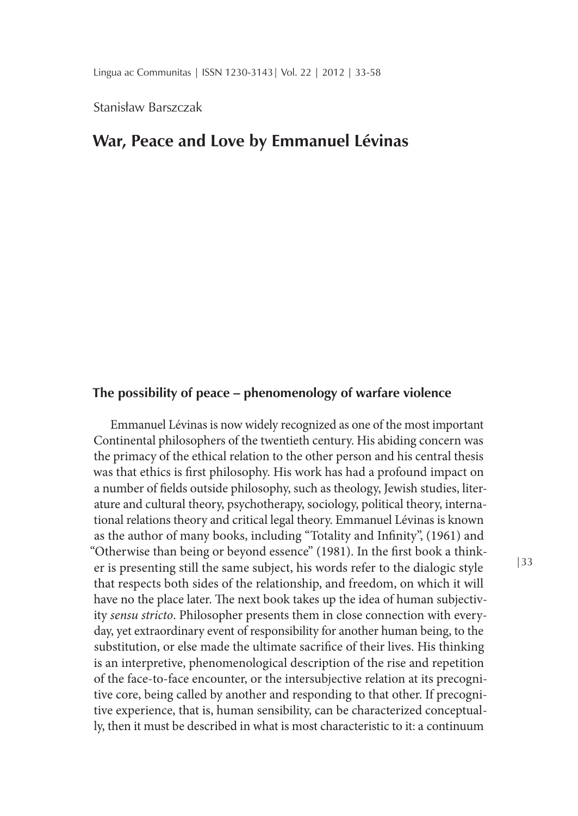Stanisław Barszczak

# **War, Peace and Love by Emmanuel Lévinas**

# **The possibility of peace – phenomenology of warfare violence**

Emmanuel Lévinas is now widely recognized as one of the most important Continental philosophers of the twentieth century. His abiding concern was the primacy of the ethical relation to the other person and his central thesis was that ethics is first philosophy. His work has had a profound impact on a number of fields outside philosophy, such as theology, Jewish studies, literature and cultural theory, psychotherapy, sociology, political theory, international relations theory and critical legal theory. Emmanuel Lévinas is known as the author of many books, including "Totality and Infinity", (1961) and "Otherwise than being or beyond essence" (1981). In the first book a thinker is presenting still the same subject, his words refer to the dialogic style that respects both sides of the relationship, and freedom, on which it will have no the place later. The next book takes up the idea of human subjectivity *sensu stricto*. Philosopher presents them in close connection with everyday, yet extraordinary event of responsibility for another human being, to the substitution, or else made the ultimate sacrifice of their lives. His thinking is an interpretive, phenomenological description of the rise and repetition of the face-to-face encounter, or the intersubjective relation at its precognitive core, being called by another and responding to that other. If precognitive experience, that is, human sensibility, can be characterized conceptually, then it must be described in what is most characteristic to it: a continuum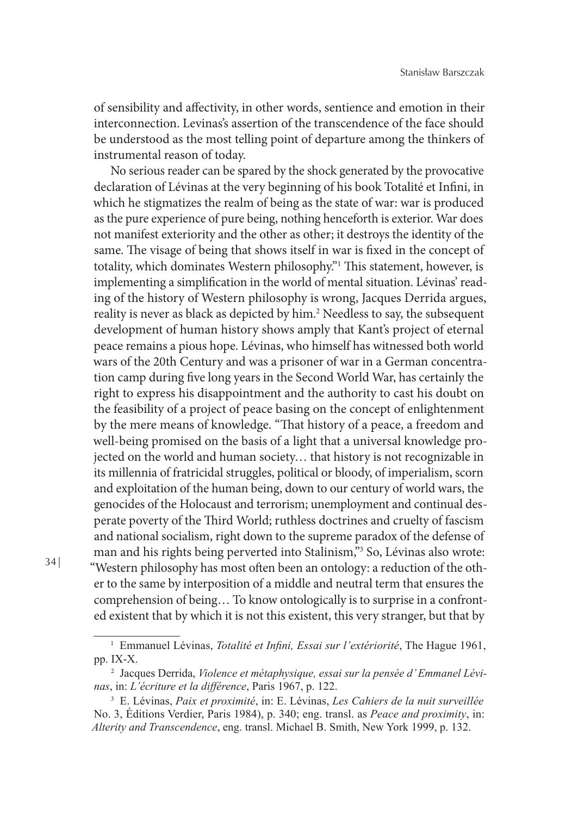of sensibility and affectivity, in other words, sentience and emotion in their interconnection. Levinas's assertion of the transcendence of the face should be understood as the most telling point of departure among the thinkers of instrumental reason of today.

No serious reader can be spared by the shock generated by the provocative declaration of Lévinas at the very beginning of his book Totalité et Infini, in which he stigmatizes the realm of being as the state of war: war is produced as the pure experience of pure being, nothing henceforth is exterior. War does not manifest exteriority and the other as other; it destroys the identity of the same. The visage of being that shows itself in war is fixed in the concept of totality, which dominates Western philosophy."1 This statement, however, is implementing a simplification in the world of mental situation. Lévinas' reading of the history of Western philosophy is wrong, Jacques Derrida argues, reality is never as black as depicted by him.2 Needless to say, the subsequent development of human history shows amply that Kant's project of eternal peace remains a pious hope. Lévinas, who himself has witnessed both world wars of the 20th Century and was a prisoner of war in a German concentration camp during five long years in the Second World War, has certainly the right to express his disappointment and the authority to cast his doubt on the feasibility of a project of peace basing on the concept of enlightenment by the mere means of knowledge. "That history of a peace, a freedom and well-being promised on the basis of a light that a universal knowledge projected on the world and human society… that history is not recognizable in its millennia of fratricidal struggles, political or bloody, of imperialism, scorn and exploitation of the human being, down to our century of world wars, the genocides of the Holocaust and terrorism; unemployment and continual desperate poverty of the Third World; ruthless doctrines and cruelty of fascism and national socialism, right down to the supreme paradox of the defense of man and his rights being perverted into Stalinism,"3 So, Lévinas also wrote: "Western philosophy has most often been an ontology: a reduction of the other to the same by interposition of a middle and neutral term that ensures the comprehension of being… To know ontologically is to surprise in a confronted existent that by which it is not this existent, this very stranger, but that by

<sup>1</sup> Emmanuel Lévinas, *Totalité et Infini, Essai sur l'extériorité*, The Hague 1961, pp. IX-X.

<sup>2</sup> Jacques Derrida, *Violence et métaphysique, essai sur la pensée d' Emmanel Lévinas*, in: *L'écriture et la différence*, Paris 1967, p. 122.

<sup>3</sup> E. Lévinas, *Paix et proximité*, in: E. Lévinas, *Les Cahiers de la nuit surveillée* No. 3, Éditions Verdier, Paris 1984), p. 340; eng. transl. as *Peace and proximity*, in: *Alterity and Transcendence*, eng. transl. Michael B. Smith, New York 1999, p. 132.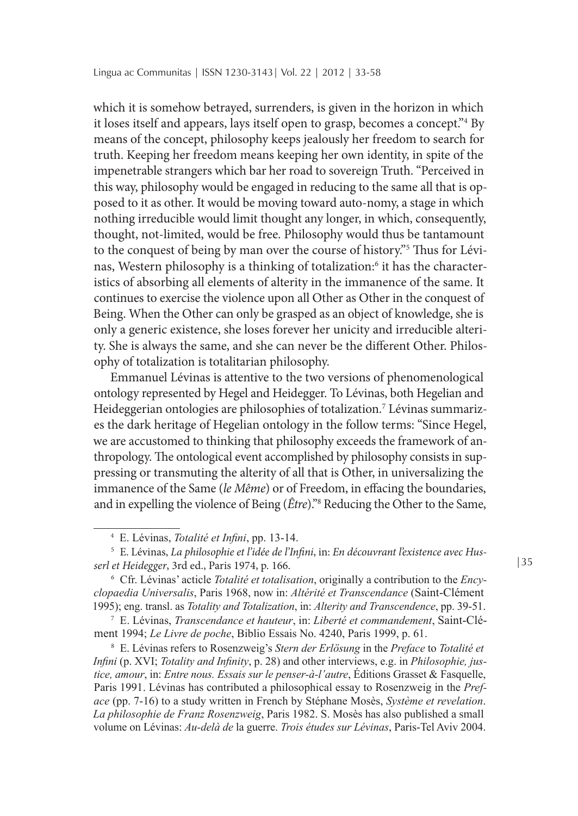which it is somehow betrayed, surrenders, is given in the horizon in which it loses itself and appears, lays itself open to grasp, becomes a concept."4 By means of the concept, philosophy keeps jealously her freedom to search for truth. Keeping her freedom means keeping her own identity, in spite of the impenetrable strangers which bar her road to sovereign Truth. "Perceived in this way, philosophy would be engaged in reducing to the same all that is opposed to it as other. It would be moving toward auto-nomy, a stage in which nothing irreducible would limit thought any longer, in which, consequently, thought, not-limited, would be free. Philosophy would thus be tantamount to the conquest of being by man over the course of history."5 Thus for Lévinas, Western philosophy is a thinking of totalization:6 it has the characteristics of absorbing all elements of alterity in the immanence of the same. It continues to exercise the violence upon all Other as Other in the conquest of Being. When the Other can only be grasped as an object of knowledge, she is only a generic existence, she loses forever her unicity and irreducible alterity. She is always the same, and she can never be the different Other. Philosophy of totalization is totalitarian philosophy.

Emmanuel Lévinas is attentive to the two versions of phenomenological ontology represented by Hegel and Heidegger. To Lévinas, both Hegelian and Heideggerian ontologies are philosophies of totalization.7 Lévinas summarizes the dark heritage of Hegelian ontology in the follow terms: "Since Hegel, we are accustomed to thinking that philosophy exceeds the framework of anthropology. The ontological event accomplished by philosophy consists in suppressing or transmuting the alterity of all that is Other, in universalizing the immanence of the Same (*le Même*) or of Freedom, in effacing the boundaries, and in expelling the violence of Being (*Être*)."8 Reducing the Other to the Same,

<sup>7</sup> E. Lévinas, *Transcendance et hauteur*, in: *Liberté et commandement*, Saint-Clément 1994; *Le Livre de poche*, Biblio Essais No. 4240, Paris 1999, p. 61.

<sup>8</sup> E. Lévinas refers to Rosenzweig's *Stern der Erlösung* in the *Preface* to *Totalité et Infini* (p. XVI; *Totality and Infinity*, p. 28) and other interviews, e.g. in *Philosophie, justice, amour*, in: *Entre nous. Essais sur le penser-à-l'autre*, Éditions Grasset & Fasquelle, Paris 1991. Lévinas has contributed a philosophical essay to Rosenzweig in the *Preface* (pp. 7-16) to a study written in French by Stéphane Mosès, *Système et revelation*. *La philosophie de Franz Rosenzweig*, Paris 1982. S. Mosès has also published a small volume on Lévinas: *Au-delà de* la guerre. *Trois études sur Lévinas*, Paris-Tel Aviv 2004.

<sup>4</sup> E. Lévinas, *Totalité et Infini*, pp. 13-14.

<sup>5</sup> E. Lévinas, *La philosophie et l'idée de l'Infini*, in: *En découvrant l'existence avec Husserl et Heidegger*, 3rd ed., Paris 1974, p. 166.

<sup>6</sup> Cfr. Lévinas' acticle *Totalité et totalisation*, originally a contribution to the *Encyclopaedia Universalis*, Paris 1968, now in: *Altérité et Transcendance* (Saint-Clément 1995); eng. transl. as *Totality and Totalization*, in: *Alterity and Transcendence*, pp. 39-51.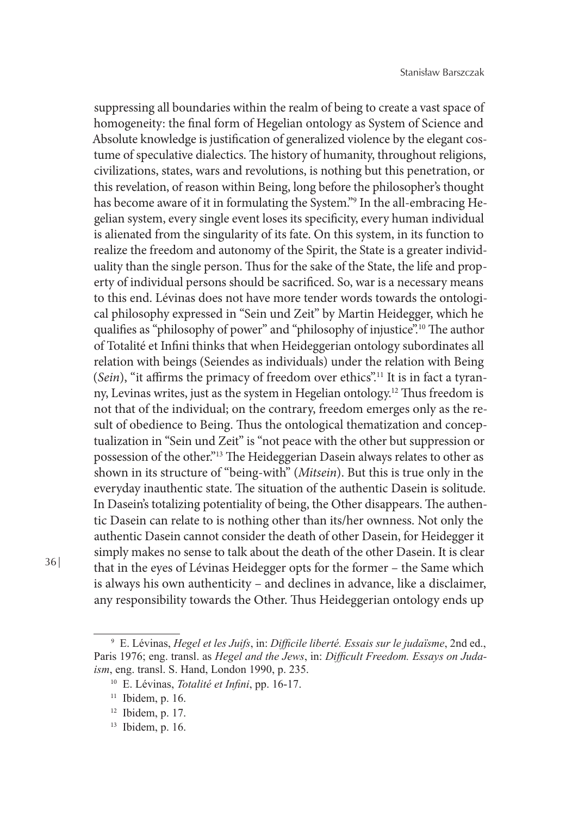suppressing all boundaries within the realm of being to create a vast space of homogeneity: the final form of Hegelian ontology as System of Science and Absolute knowledge is justification of generalized violence by the elegant costume of speculative dialectics. The history of humanity, throughout religions, civilizations, states, wars and revolutions, is nothing but this penetration, or this revelation, of reason within Being, long before the philosopher's thought has become aware of it in formulating the System."9 In the all-embracing Hegelian system, every single event loses its specificity, every human individual is alienated from the singularity of its fate. On this system, in its function to realize the freedom and autonomy of the Spirit, the State is a greater individuality than the single person. Thus for the sake of the State, the life and property of individual persons should be sacrificed. So, war is a necessary means to this end. Lévinas does not have more tender words towards the ontological philosophy expressed in "Sein und Zeit" by Martin Heidegger, which he qualifies as "philosophy of power" and "philosophy of injustice".10 The author of Totalité et Infini thinks that when Heideggerian ontology subordinates all relation with beings (Seiendes as individuals) under the relation with Being (*Sein*), "it affirms the primacy of freedom over ethics".11 It is in fact a tyranny, Levinas writes, just as the system in Hegelian ontology.12 Thus freedom is not that of the individual; on the contrary, freedom emerges only as the result of obedience to Being. Thus the ontological thematization and conceptualization in "Sein und Zeit" is "not peace with the other but suppression or possession of the other."13 The Heideggerian Dasein always relates to other as shown in its structure of "being-with" (*Mitsein*). But this is true only in the everyday inauthentic state. The situation of the authentic Dasein is solitude. In Dasein's totalizing potentiality of being, the Other disappears. The authentic Dasein can relate to is nothing other than its/her ownness. Not only the authentic Dasein cannot consider the death of other Dasein, for Heidegger it simply makes no sense to talk about the death of the other Dasein. It is clear that in the eyes of Lévinas Heidegger opts for the former – the Same which is always his own authenticity – and declines in advance, like a disclaimer, any responsibility towards the Other. Thus Heideggerian ontology ends up

<sup>9</sup> E. Lévinas, *Hegel et les Juifs*, in: *Difficile liberté. Essais sur le judaïsme*, 2nd ed., Paris 1976; eng. transl. as *Hegel and the Jews*, in: *Difficult Freedom. Essays on Judaism*, eng. transl. S. Hand, London 1990, p. 235.

<sup>10</sup> E. Lévinas, *Totalité et Infini*, pp. 16-17.

 $11$  Ibidem, p. 16.

<sup>12</sup> Ibidem, p. 17.

<sup>13</sup> Ibidem, p. 16.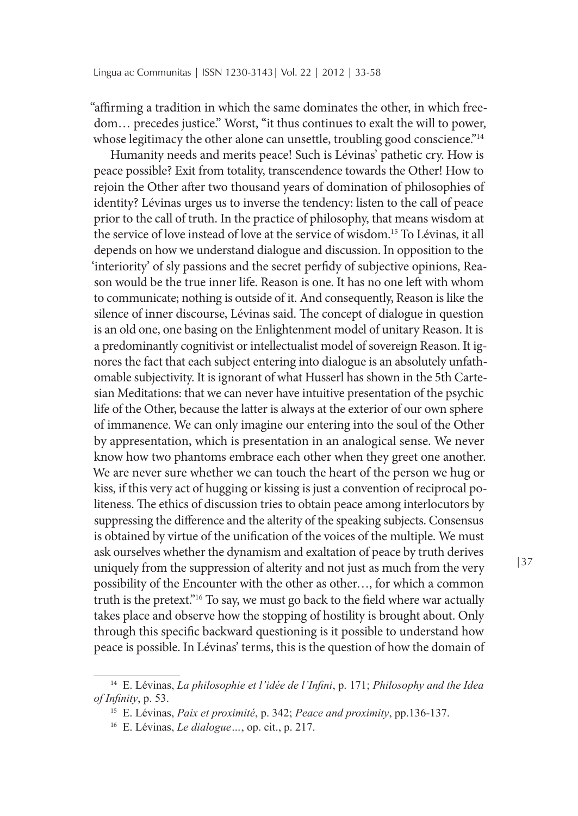"affirming a tradition in which the same dominates the other, in which freedom… precedes justice." Worst, "it thus continues to exalt the will to power, whose legitimacy the other alone can unsettle, troubling good conscience."<sup>14</sup>

Humanity needs and merits peace! Such is Lévinas' pathetic cry. How is peace possible? Exit from totality, transcendence towards the Other! How to rejoin the Other after two thousand years of domination of philosophies of identity? Lévinas urges us to inverse the tendency: listen to the call of peace prior to the call of truth. In the practice of philosophy, that means wisdom at the service of love instead of love at the service of wisdom.15 To Lévinas, it all depends on how we understand dialogue and discussion. In opposition to the 'interiority' of sly passions and the secret perfidy of subjective opinions, Reason would be the true inner life. Reason is one. It has no one left with whom to communicate; nothing is outside of it. And consequently, Reason is like the silence of inner discourse, Lévinas said. The concept of dialogue in question is an old one, one basing on the Enlightenment model of unitary Reason. It is a predominantly cognitivist or intellectualist model of sovereign Reason. It ignores the fact that each subject entering into dialogue is an absolutely unfathomable subjectivity. It is ignorant of what Husserl has shown in the 5th Cartesian Meditations: that we can never have intuitive presentation of the psychic life of the Other, because the latter is always at the exterior of our own sphere of immanence. We can only imagine our entering into the soul of the Other by appresentation, which is presentation in an analogical sense. We never know how two phantoms embrace each other when they greet one another. We are never sure whether we can touch the heart of the person we hug or kiss, if this very act of hugging or kissing is just a convention of reciprocal politeness. The ethics of discussion tries to obtain peace among interlocutors by suppressing the difference and the alterity of the speaking subjects. Consensus is obtained by virtue of the unification of the voices of the multiple. We must ask ourselves whether the dynamism and exaltation of peace by truth derives uniquely from the suppression of alterity and not just as much from the very possibility of the Encounter with the other as other…, for which a common truth is the pretext."16 To say, we must go back to the field where war actually takes place and observe how the stopping of hostility is brought about. Only through this specific backward questioning is it possible to understand how peace is possible. In Lévinas' terms, this is the question of how the domain of

<sup>14</sup> E. Lévinas, *La philosophie et l'idée de l'Infini*, p. 171; *Philosophy and the Idea of Infinity*, p. 53.

<sup>15</sup> E. Lévinas, *Paix et proximité*, p. 342; *Peace and proximity*, pp.136-137.

<sup>16</sup> E. Lévinas, *Le dialogue…*, op. cit., p. 217.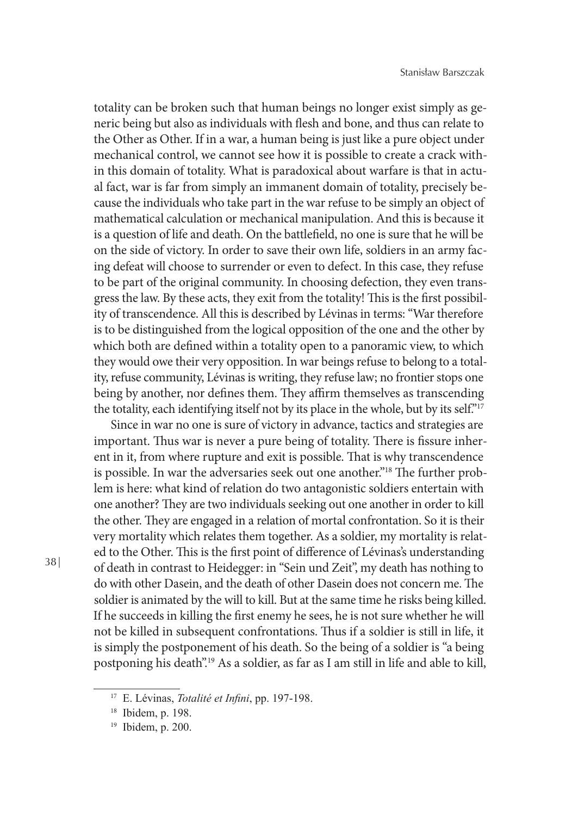totality can be broken such that human beings no longer exist simply as generic being but also as individuals with flesh and bone, and thus can relate to the Other as Other. If in a war, a human being is just like a pure object under mechanical control, we cannot see how it is possible to create a crack within this domain of totality. What is paradoxical about warfare is that in actual fact, war is far from simply an immanent domain of totality, precisely because the individuals who take part in the war refuse to be simply an object of mathematical calculation or mechanical manipulation. And this is because it is a question of life and death. On the battlefield, no one is sure that he will be on the side of victory. In order to save their own life, soldiers in an army facing defeat will choose to surrender or even to defect. In this case, they refuse to be part of the original community. In choosing defection, they even transgress the law. By these acts, they exit from the totality! This is the first possibility of transcendence. All this is described by Lévinas in terms: "War therefore is to be distinguished from the logical opposition of the one and the other by which both are defined within a totality open to a panoramic view, to which they would owe their very opposition. In war beings refuse to belong to a totality, refuse community, Lévinas is writing, they refuse law; no frontier stops one being by another, nor defines them. They affirm themselves as transcending the totality, each identifying itself not by its place in the whole, but by its self."17

Since in war no one is sure of victory in advance, tactics and strategies are important. Thus war is never a pure being of totality. There is fissure inherent in it, from where rupture and exit is possible. That is why transcendence is possible. In war the adversaries seek out one another."<sup>18</sup> The further problem is here: what kind of relation do two antagonistic soldiers entertain with one another? They are two individuals seeking out one another in order to kill the other. They are engaged in a relation of mortal confrontation. So it is their very mortality which relates them together. As a soldier, my mortality is related to the Other. This is the first point of difference of Lévinas's understanding of death in contrast to Heidegger: in "Sein und Zeit", my death has nothing to do with other Dasein, and the death of other Dasein does not concern me. The soldier is animated by the will to kill. But at the same time he risks being killed. If he succeeds in killing the first enemy he sees, he is not sure whether he will not be killed in subsequent confrontations. Thus if a soldier is still in life, it is simply the postponement of his death. So the being of a soldier is "a being postponing his death".19 As a soldier, as far as I am still in life and able to kill,

<sup>17</sup> E. Lévinas, *Totalité et Infini*, pp. 197-198.

<sup>18</sup> Ibidem, p. 198.

<sup>19</sup> Ibidem, p. 200.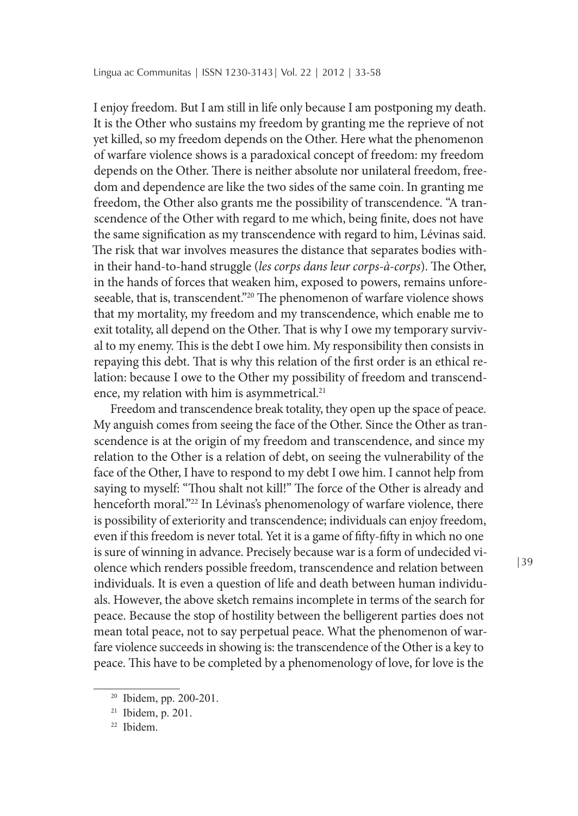I enjoy freedom. But I am still in life only because I am postponing my death. It is the Other who sustains my freedom by granting me the reprieve of not yet killed, so my freedom depends on the Other. Here what the phenomenon of warfare violence shows is a paradoxical concept of freedom: my freedom depends on the Other. There is neither absolute nor unilateral freedom, freedom and dependence are like the two sides of the same coin. In granting me freedom, the Other also grants me the possibility of transcendence. "A transcendence of the Other with regard to me which, being finite, does not have the same signification as my transcendence with regard to him, Lévinas said. The risk that war involves measures the distance that separates bodies within their hand-to-hand struggle (*les corps dans leur corps-à-corps*). The Other, in the hands of forces that weaken him, exposed to powers, remains unforeseeable, that is, transcendent."<sup>20</sup> The phenomenon of warfare violence shows that my mortality, my freedom and my transcendence, which enable me to exit totality, all depend on the Other. That is why I owe my temporary survival to my enemy. This is the debt I owe him. My responsibility then consists in repaying this debt. That is why this relation of the first order is an ethical relation: because I owe to the Other my possibility of freedom and transcendence, my relation with him is asymmetrical.<sup>21</sup>

Freedom and transcendence break totality, they open up the space of peace. My anguish comes from seeing the face of the Other. Since the Other as transcendence is at the origin of my freedom and transcendence, and since my relation to the Other is a relation of debt, on seeing the vulnerability of the face of the Other, I have to respond to my debt I owe him. I cannot help from saying to myself: "Thou shalt not kill!" The force of the Other is already and henceforth moral."<sup>22</sup> In Lévinas's phenomenology of warfare violence, there is possibility of exteriority and transcendence; individuals can enjoy freedom, even if this freedom is never total. Yet it is a game of fifty-fifty in which no one is sure of winning in advance. Precisely because war is a form of undecided violence which renders possible freedom, transcendence and relation between individuals. It is even a question of life and death between human individuals. However, the above sketch remains incomplete in terms of the search for peace. Because the stop of hostility between the belligerent parties does not mean total peace, not to say perpetual peace. What the phenomenon of warfare violence succeeds in showing is: the transcendence of the Other is a key to peace. This have to be completed by a phenomenology of love, for love is the

<sup>20</sup> Ibidem, pp. 200-201.

<sup>&</sup>lt;sup>21</sup> Ibidem, p. 201.

<sup>22</sup> Ibidem.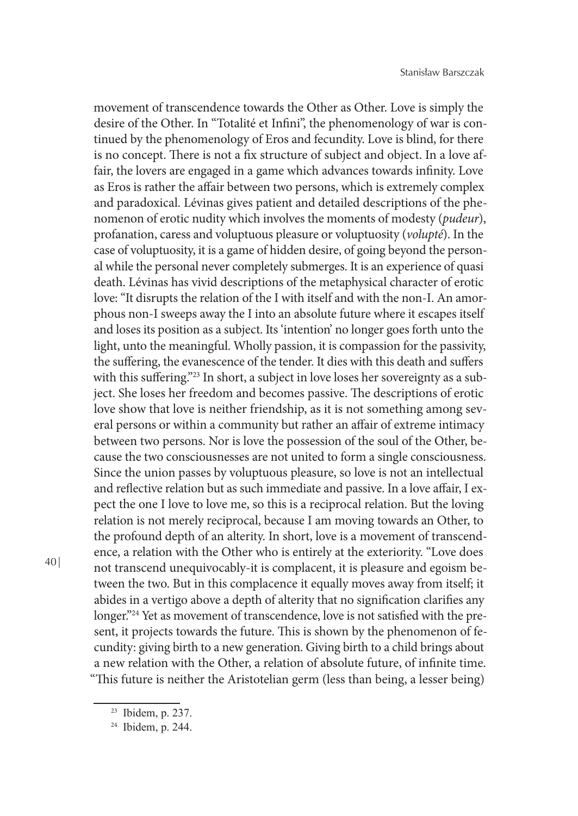movement of transcendence towards the Other as Other. Love is simply the desire of the Other. In "Totalité et Infini", the phenomenology of war is continued by the phenomenology of Eros and fecundity. Love is blind, for there is no concept. There is not a fix structure of subject and object. In a love affair, the lovers are engaged in a game which advances towards infinity. Love as Eros is rather the affair between two persons, which is extremely complex and paradoxical. Lévinas gives patient and detailed descriptions of the phenomenon of erotic nudity which involves the moments of modesty (*pudeur*), profanation, caress and voluptuous pleasure or voluptuosity (*volupté*). In the case of voluptuosity, it is a game of hidden desire, of going beyond the personal while the personal never completely submerges. It is an experience of quasi death. Lévinas has vivid descriptions of the metaphysical character of erotic love: "It disrupts the relation of the I with itself and with the non-I. An amorphous non-I sweeps away the I into an absolute future where it escapes itself and loses its position as a subject. Its 'intention' no longer goes forth unto the light, unto the meaningful. Wholly passion, it is compassion for the passivity, the suffering, the evanescence of the tender. It dies with this death and suffers with this suffering."<sup>23</sup> In short, a subject in love loses her sovereignty as a subject. She loses her freedom and becomes passive. The descriptions of erotic love show that love is neither friendship, as it is not something among several persons or within a community but rather an affair of extreme intimacy between two persons. Nor is love the possession of the soul of the Other, because the two consciousnesses are not united to form a single consciousness. Since the union passes by voluptuous pleasure, so love is not an intellectual and reflective relation but as such immediate and passive. In a love affair, I expect the one I love to love me, so this is a reciprocal relation. But the loving relation is not merely reciprocal, because I am moving towards an Other, to the profound depth of an alterity. In short, love is a movement of transcendence, a relation with the Other who is entirely at the exteriority. "Love does not transcend unequivocably-it is complacent, it is pleasure and egoism between the two. But in this complacence it equally moves away from itself; it abides in a vertigo above a depth of alterity that no signification clarifies any longer."<sup>24</sup> Yet as movement of transcendence, love is not satisfied with the present, it projects towards the future. This is shown by the phenomenon of fecundity: giving birth to a new generation. Giving birth to a child brings about a new relation with the Other, a relation of absolute future, of infinite time. "This future is neither the Aristotelian germ (less than being, a lesser being)

<sup>23</sup> Ibidem, p. 237.

<sup>24</sup> Ibidem, p. 244.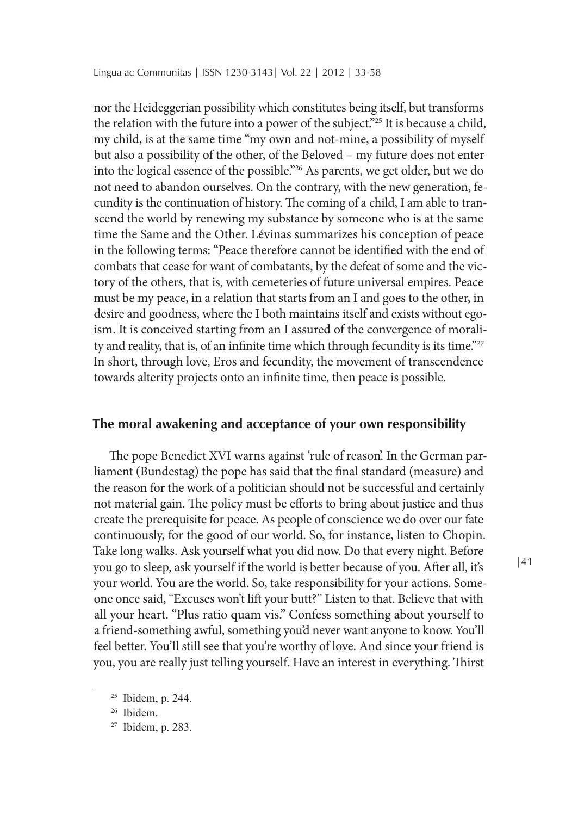nor the Heideggerian possibility which constitutes being itself, but transforms the relation with the future into a power of the subject."25 It is because a child, my child, is at the same time "my own and not-mine, a possibility of myself but also a possibility of the other, of the Beloved – my future does not enter into the logical essence of the possible."26 As parents, we get older, but we do not need to abandon ourselves. On the contrary, with the new generation, fecundity is the continuation of history. The coming of a child, I am able to transcend the world by renewing my substance by someone who is at the same time the Same and the Other. Lévinas summarizes his conception of peace in the following terms: "Peace therefore cannot be identified with the end of combats that cease for want of combatants, by the defeat of some and the victory of the others, that is, with cemeteries of future universal empires. Peace must be my peace, in a relation that starts from an I and goes to the other, in desire and goodness, where the I both maintains itself and exists without egoism. It is conceived starting from an I assured of the convergence of morality and reality, that is, of an infinite time which through fecundity is its time."<sup>27</sup> In short, through love, Eros and fecundity, the movement of transcendence towards alterity projects onto an infinite time, then peace is possible.

#### **The moral awakening and acceptance of your own responsibility**

The pope Benedict XVI warns against 'rule of reason'. In the German parliament (Bundestag) the pope has said that the final standard (measure) and the reason for the work of a politician should not be successful and certainly not material gain. The policy must be efforts to bring about justice and thus create the prerequisite for peace. As people of conscience we do over our fate continuously, for the good of our world. So, for instance, listen to Chopin. Take long walks. Ask yourself what you did now. Do that every night. Before you go to sleep, ask yourself if the world is better because of you. After all, it's your world. You are the world. So, take responsibility for your actions. Someone once said, "Excuses won't lift your butt?" Listen to that. Believe that with all your heart. "Plus ratio quam vis." Confess something about yourself to a friend-something awful, something you'd never want anyone to know. You'll feel better. You'll still see that you're worthy of love. And since your friend is you, you are really just telling yourself. Have an interest in everything. Thirst

<sup>25</sup> Ibidem, p. 244.

<sup>26</sup> Ibidem.

<sup>27</sup> Ibidem, p. 283.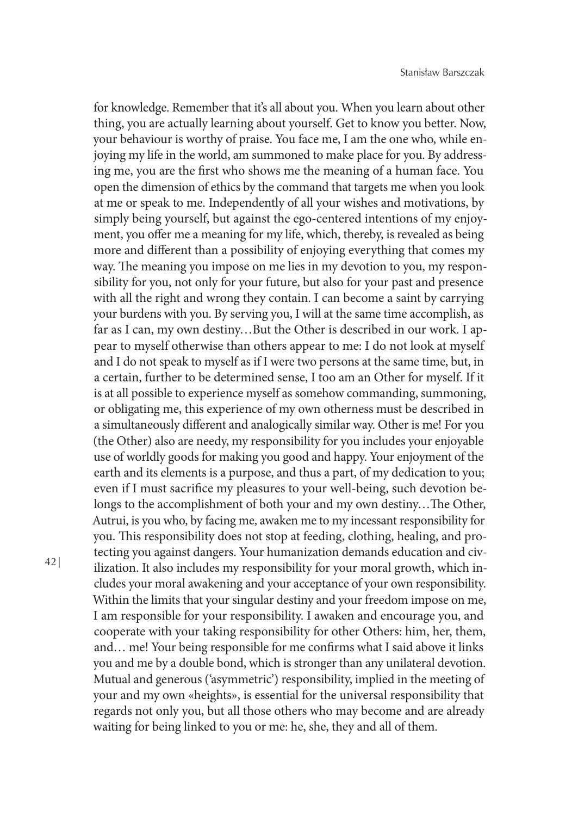for knowledge. Remember that it's all about you. When you learn about other thing, you are actually learning about yourself. Get to know you better. Now, your behaviour is worthy of praise. You face me, I am the one who, while enjoying my life in the world, am summoned to make place for you. By addressing me, you are the first who shows me the meaning of a human face. You open the dimension of ethics by the command that targets me when you look at me or speak to me. Independently of all your wishes and motivations, by simply being yourself, but against the ego-centered intentions of my enjoyment, you offer me a meaning for my life, which, thereby, is revealed as being more and different than a possibility of enjoying everything that comes my way. The meaning you impose on me lies in my devotion to you, my responsibility for you, not only for your future, but also for your past and presence with all the right and wrong they contain. I can become a saint by carrying your burdens with you. By serving you, I will at the same time accomplish, as far as I can, my own destiny…But the Other is described in our work. I appear to myself otherwise than others appear to me: I do not look at myself and I do not speak to myself as if I were two persons at the same time, but, in a certain, further to be determined sense, I too am an Other for myself. If it is at all possible to experience myself as somehow commanding, summoning, or obligating me, this experience of my own otherness must be described in a simultaneously different and analogically similar way. Other is me! For you (the Other) also are needy, my responsibility for you includes your enjoyable use of worldly goods for making you good and happy. Your enjoyment of the earth and its elements is a purpose, and thus a part, of my dedication to you; even if I must sacrifice my pleasures to your well-being, such devotion belongs to the accomplishment of both your and my own destiny…The Other, Autrui, is you who, by facing me, awaken me to my incessant responsibility for you. This responsibility does not stop at feeding, clothing, healing, and protecting you against dangers. Your humanization demands education and civilization. It also includes my responsibility for your moral growth, which includes your moral awakening and your acceptance of your own responsibility. Within the limits that your singular destiny and your freedom impose on me, I am responsible for your responsibility. I awaken and encourage you, and cooperate with your taking responsibility for other Others: him, her, them, and… me! Your being responsible for me confirms what I said above it links you and me by a double bond, which is stronger than any unilateral devotion. Mutual and generous ('asymmetric') responsibility, implied in the meeting of your and my own «heights», is essential for the universal responsibility that regards not only you, but all those others who may become and are already waiting for being linked to you or me: he, she, they and all of them.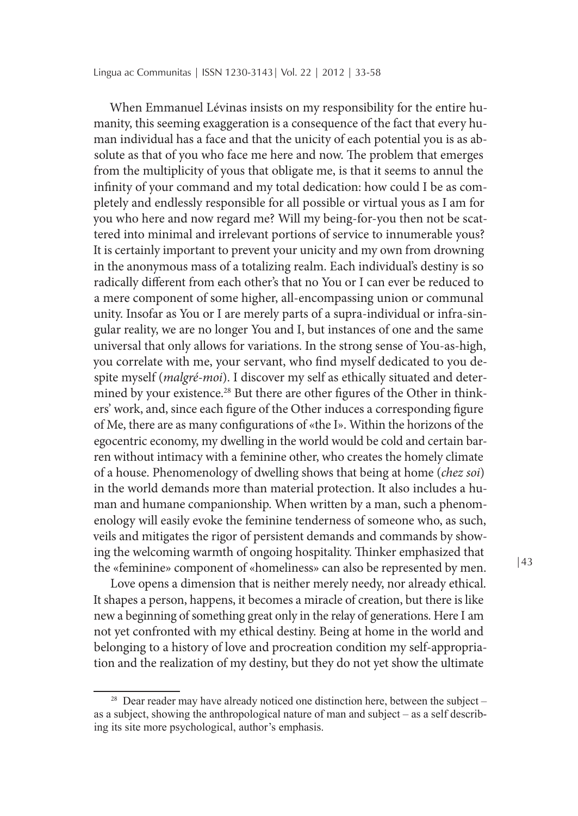When Emmanuel Lévinas insists on my responsibility for the entire humanity, this seeming exaggeration is a consequence of the fact that every human individual has a face and that the unicity of each potential you is as absolute as that of you who face me here and now. The problem that emerges from the multiplicity of yous that obligate me, is that it seems to annul the infinity of your command and my total dedication: how could I be as completely and endlessly responsible for all possible or virtual yous as I am for you who here and now regard me? Will my being-for-you then not be scattered into minimal and irrelevant portions of service to innumerable yous? It is certainly important to prevent your unicity and my own from drowning in the anonymous mass of a totalizing realm. Each individual's destiny is so radically different from each other's that no You or I can ever be reduced to a mere component of some higher, all-encompassing union or communal unity. Insofar as You or I are merely parts of a supra-individual or infra-singular reality, we are no longer You and I, but instances of one and the same universal that only allows for variations. In the strong sense of You-as-high, you correlate with me, your servant, who find myself dedicated to you despite myself (*malgré-moi*). I discover my self as ethically situated and determined by your existence.<sup>28</sup> But there are other figures of the Other in thinkers' work, and, since each figure of the Other induces a corresponding figure of Me, there are as many configurations of «the I». Within the horizons of the egocentric economy, my dwelling in the world would be cold and certain barren without intimacy with a feminine other, who creates the homely climate of a house. Phenomenology of dwelling shows that being at home (*chez soi*) in the world demands more than material protection. It also includes a human and humane companionship. When written by a man, such a phenomenology will easily evoke the feminine tenderness of someone who, as such, veils and mitigates the rigor of persistent demands and commands by showing the welcoming warmth of ongoing hospitality. Thinker emphasized that the «feminine» component of «homeliness» can also be represented by men.

Love opens a dimension that is neither merely needy, nor already ethical. It shapes a person, happens, it becomes a miracle of creation, but there is like new a beginning of something great only in the relay of generations. Here I am not yet confronted with my ethical destiny. Being at home in the world and belonging to a history of love and procreation condition my self-appropriation and the realization of my destiny, but they do not yet show the ultimate

<sup>&</sup>lt;sup>28</sup> Dear reader may have already noticed one distinction here, between the subject – as a subject, showing the anthropological nature of man and subject – as a self describing its site more psychological, author's emphasis.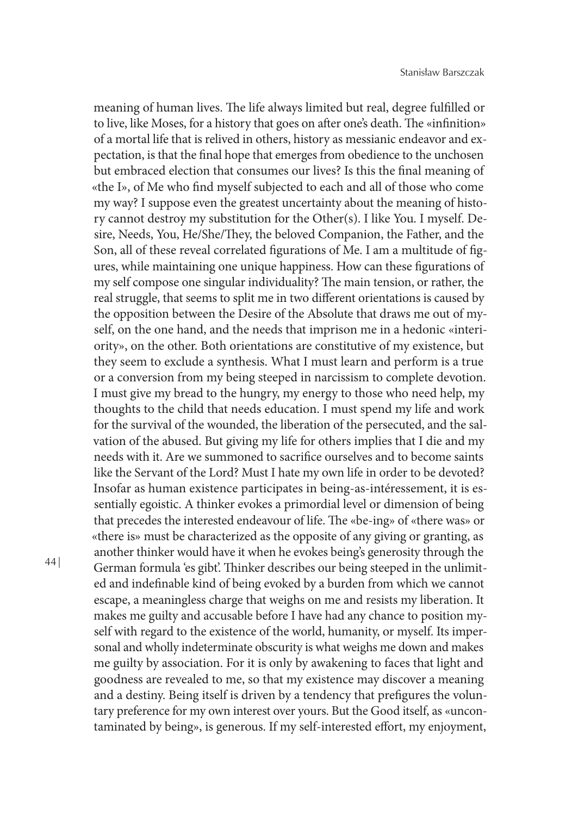meaning of human lives. The life always limited but real, degree fulfilled or to live, like Moses, for a history that goes on after one's death. The «infinition» of a mortal life that is relived in others, history as messianic endeavor and expectation, is that the final hope that emerges from obedience to the unchosen but embraced election that consumes our lives? Is this the final meaning of «the I», of Me who find myself subjected to each and all of those who come my way? I suppose even the greatest uncertainty about the meaning of history cannot destroy my substitution for the Other(s). I like You. I myself. Desire, Needs, You, He/She/They, the beloved Companion, the Father, and the Son, all of these reveal correlated figurations of Me. I am a multitude of figures, while maintaining one unique happiness. How can these figurations of my self compose one singular individuality? The main tension, or rather, the real struggle, that seems to split me in two different orientations is caused by the opposition between the Desire of the Absolute that draws me out of myself, on the one hand, and the needs that imprison me in a hedonic «interiority», on the other. Both orientations are constitutive of my existence, but they seem to exclude a synthesis. What I must learn and perform is a true or a conversion from my being steeped in narcissism to complete devotion. I must give my bread to the hungry, my energy to those who need help, my thoughts to the child that needs education. I must spend my life and work for the survival of the wounded, the liberation of the persecuted, and the salvation of the abused. But giving my life for others implies that I die and my needs with it. Are we summoned to sacrifice ourselves and to become saints like the Servant of the Lord? Must I hate my own life in order to be devoted? Insofar as human existence participates in being-as-intéressement, it is essentially egoistic. A thinker evokes a primordial level or dimension of being that precedes the interested endeavour of life. The «be-ing» of «there was» or «there is» must be characterized as the opposite of any giving or granting, as another thinker would have it when he evokes being's generosity through the German formula 'es gibt'. Thinker describes our being steeped in the unlimited and indefinable kind of being evoked by a burden from which we cannot escape, a meaningless charge that weighs on me and resists my liberation. It makes me guilty and accusable before I have had any chance to position myself with regard to the existence of the world, humanity, or myself. Its impersonal and wholly indeterminate obscurity is what weighs me down and makes me guilty by association. For it is only by awakening to faces that light and goodness are revealed to me, so that my existence may discover a meaning and a destiny. Being itself is driven by a tendency that prefigures the voluntary preference for my own interest over yours. But the Good itself, as «uncontaminated by being», is generous. If my self-interested effort, my enjoyment,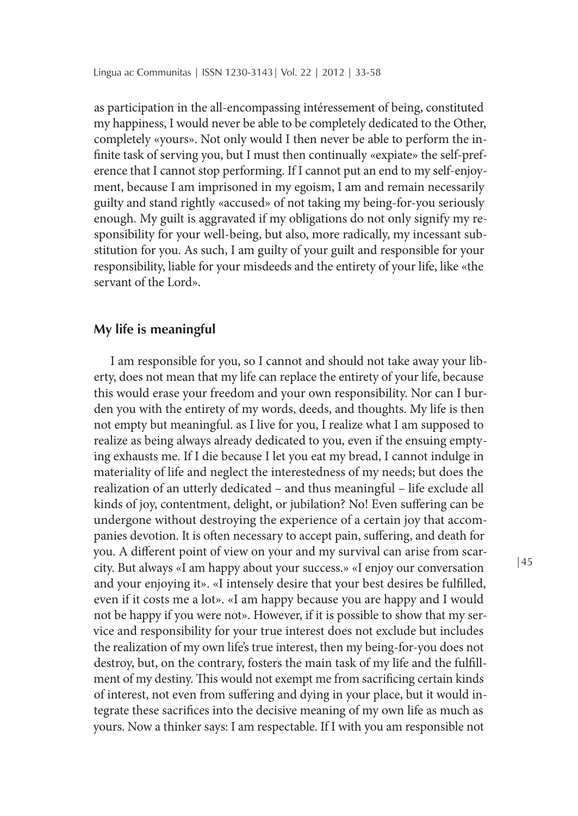as participation in the all-encompassing intéressement of being, constituted my happiness, I would never be able to be completely dedicated to the Other, completely «yours». Not only would I then never be able to perform the infinite task of serving you, but I must then continually «expiate» the self-preference that I cannot stop performing. If I cannot put an end to my self-enjoyment, because I am imprisoned in my egoism, I am and remain necessarily guilty and stand rightly «accused» of not taking my being-for-you seriously enough. My guilt is aggravated if my obligations do not only signify my responsibility for your well-being, but also, more radically, my incessant substitution for you. As such, I am guilty of your guilt and responsible for your responsibility, liable for your misdeeds and the entirety of your life, like «the servant of the Lord».

# **My life is meaningful**

I am responsible for you, so I cannot and should not take away your liberty, does not mean that my life can replace the entirety of your life, because this would erase your freedom and your own responsibility. Nor can I burden you with the entirety of my words, deeds, and thoughts. My life is then not empty but meaningful. as I live for you, I realize what I am supposed to realize as being always already dedicated to you, even if the ensuing emptying exhausts me. If I die because I let you eat my bread, I cannot indulge in materiality of life and neglect the interestedness of my needs; but does the realization of an utterly dedicated – and thus meaningful – life exclude all kinds of joy, contentment, delight, or jubilation? No! Even suffering can be undergone without destroying the experience of a certain joy that accompanies devotion. It is often necessary to accept pain, suffering, and death for you. A different point of view on your and my survival can arise from scarcity. But always «I am happy about your success.» «I enjoy our conversation and your enjoying it». «I intensely desire that your best desires be fulfilled, even if it costs me a lot». «I am happy because you are happy and I would not be happy if you were not». However, if it is possible to show that my service and responsibility for your true interest does not exclude but includes the realization of my own life's true interest, then my being-for-you does not destroy, but, on the contrary, fosters the main task of my life and the fulfillment of my destiny. This would not exempt me from sacrificing certain kinds of interest, not even from suffering and dying in your place, but it would integrate these sacrifices into the decisive meaning of my own life as much as yours. Now a thinker says: I am respectable. If I with you am responsible not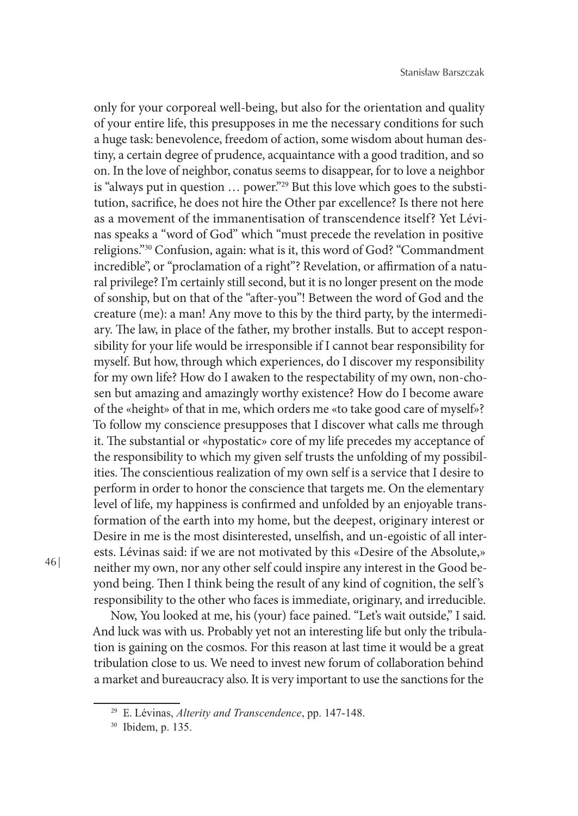only for your corporeal well-being, but also for the orientation and quality of your entire life, this presupposes in me the necessary conditions for such a huge task: benevolence, freedom of action, some wisdom about human destiny, a certain degree of prudence, acquaintance with a good tradition, and so on. In the love of neighbor, conatus seems to disappear, for to love a neighbor is "always put in question … power."29 But this love which goes to the substitution, sacrifice, he does not hire the Other par excellence? Is there not here as a movement of the immanentisation of transcendence itself? Yet Lévinas speaks a "word of God" which "must precede the revelation in positive religions."30 Confusion, again: what is it, this word of God? "Commandment incredible", or "proclamation of a right"? Revelation, or affirmation of a natural privilege? I'm certainly still second, but it is no longer present on the mode of sonship, but on that of the "after-you"! Between the word of God and the creature (me): a man! Any move to this by the third party, by the intermediary. The law, in place of the father, my brother installs. But to accept responsibility for your life would be irresponsible if I cannot bear responsibility for myself. But how, through which experiences, do I discover my responsibility for my own life? How do I awaken to the respectability of my own, non-chosen but amazing and amazingly worthy existence? How do I become aware of the «height» of that in me, which orders me «to take good care of myself»? To follow my conscience presupposes that I discover what calls me through it. The substantial or «hypostatic» core of my life precedes my acceptance of the responsibility to which my given self trusts the unfolding of my possibilities. The conscientious realization of my own self is a service that I desire to perform in order to honor the conscience that targets me. On the elementary level of life, my happiness is confirmed and unfolded by an enjoyable transformation of the earth into my home, but the deepest, originary interest or Desire in me is the most disinterested, unselfish, and un-egoistic of all interests. Lévinas said: if we are not motivated by this «Desire of the Absolute,» neither my own, nor any other self could inspire any interest in the Good beyond being. Then I think being the result of any kind of cognition, the self's responsibility to the other who faces is immediate, originary, and irreducible.

Now, You looked at me, his (your) face pained. "Let's wait outside," I said. And luck was with us. Probably yet not an interesting life but only the tribulation is gaining on the cosmos. For this reason at last time it would be a great tribulation close to us. We need to invest new forum of collaboration behind a market and bureaucracy also. It is very important to use the sanctions for the

<sup>29</sup> E. Lévinas, *Alterity and Transcendence*, pp. 147-148.

<sup>30</sup> Ibidem, p. 135.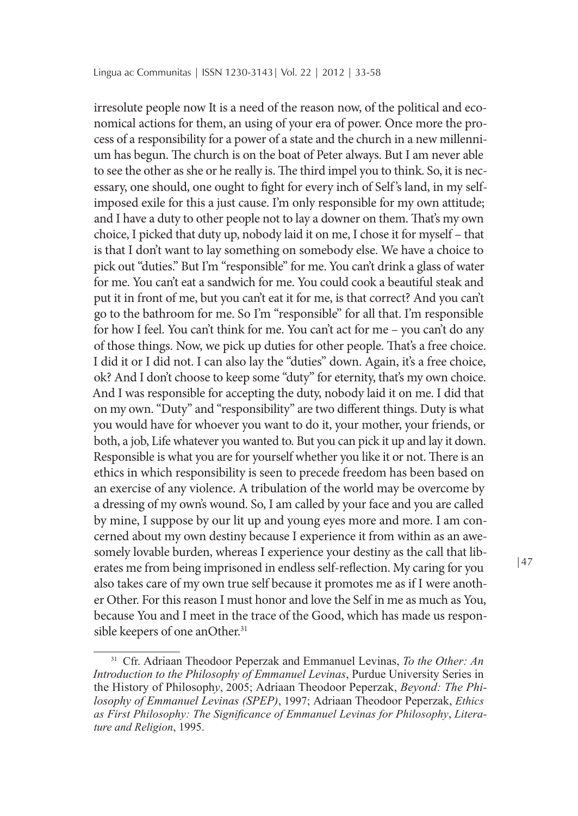irresolute people now It is a need of the reason now, of the political and economical actions for them, an using of your era of power. Once more the process of a responsibility for a power of a state and the church in a new millennium has begun. The church is on the boat of Peter always. But I am never able to see the other as she or he really is. The third impel you to think. So, it is necessary, one should, one ought to fight for every inch of Self's land, in my selfimposed exile for this a just cause. I'm only responsible for my own attitude; and I have a duty to other people not to lay a downer on them. That's my own choice, I picked that duty up, nobody laid it on me, I chose it for myself – that is that I don't want to lay something on somebody else. We have a choice to pick out "duties." But I'm "responsible" for me. You can't drink a glass of water for me. You can't eat a sandwich for me. You could cook a beautiful steak and put it in front of me, but you can't eat it for me, is that correct? And you can't go to the bathroom for me. So I'm "responsible" for all that. I'm responsible for how I feel. You can't think for me. You can't act for me – you can't do any of those things. Now, we pick up duties for other people. That's a free choice. I did it or I did not. I can also lay the "duties" down. Again, it's a free choice, ok? And I don't choose to keep some "duty" for eternity, that's my own choice. And I was responsible for accepting the duty, nobody laid it on me. I did that on my own. "Duty" and "responsibility" are two different things. Duty is what you would have for whoever you want to do it, your mother, your friends, or both, a job, Life whatever you wanted to. But you can pick it up and lay it down. Responsible is what you are for yourself whether you like it or not. There is an ethics in which responsibility is seen to precede freedom has been based on an exercise of any violence. A tribulation of the world may be overcome by a dressing of my own's wound. So, I am called by your face and you are called by mine, I suppose by our lit up and young eyes more and more. I am concerned about my own destiny because I experience it from within as an awesomely lovable burden, whereas I experience your destiny as the call that liberates me from being imprisoned in endless self-reflection. My caring for you also takes care of my own true self because it promotes me as if I were another Other. For this reason I must honor and love the Self in me as much as You, because You and I meet in the trace of the Good, which has made us responsible keepers of one anOther.<sup>31</sup>

|47

<sup>&</sup>lt;sup>31</sup> Cfr. Adriaan Theodoor Peperzak and Emmanuel Levinas, *To the Other: An Introduction to the Philosophy of Emmanuel Levinas*, Purdue University Series in the History of Philosoph*y*, 2005; Adriaan Theodoor Peperzak, *Beyond: The Philosophy of Emmanuel Levinas (SPEP)*, 1997; Adriaan Theodoor Peperzak, *Ethics as First Philosophy: The Significance of Emmanuel Levinas for Philosophy*, *Literature and Religion*, 1995.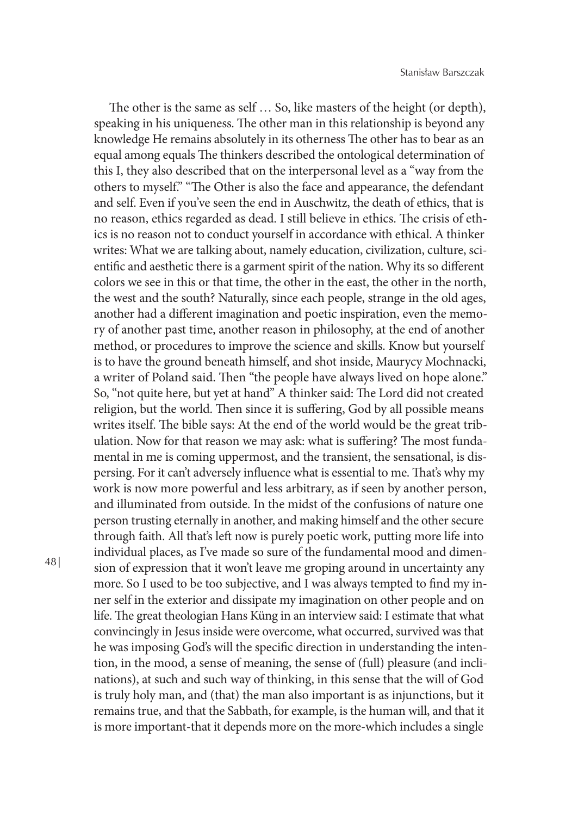The other is the same as self … So, like masters of the height (or depth), speaking in his uniqueness. The other man in this relationship is beyond any knowledge He remains absolutely in its otherness The other has to bear as an equal among equals The thinkers described the ontological determination of this I, they also described that on the interpersonal level as a "way from the others to myself." "The Other is also the face and appearance, the defendant and self. Even if you've seen the end in Auschwitz, the death of ethics, that is no reason, ethics regarded as dead. I still believe in ethics. The crisis of ethics is no reason not to conduct yourself in accordance with ethical. A thinker writes: What we are talking about, namely education, civilization, culture, scientific and aesthetic there is a garment spirit of the nation. Why its so different colors we see in this or that time, the other in the east, the other in the north, the west and the south? Naturally, since each people, strange in the old ages, another had a different imagination and poetic inspiration, even the memory of another past time, another reason in philosophy, at the end of another method, or procedures to improve the science and skills. Know but yourself is to have the ground beneath himself, and shot inside, Maurycy Mochnacki, a writer of Poland said. Then "the people have always lived on hope alone." So, "not quite here, but yet at hand" A thinker said: The Lord did not created religion, but the world. Then since it is suffering, God by all possible means writes itself. The bible says: At the end of the world would be the great tribulation. Now for that reason we may ask: what is suffering? The most fundamental in me is coming uppermost, and the transient, the sensational, is dispersing. For it can't adversely influence what is essential to me. That's why my work is now more powerful and less arbitrary, as if seen by another person, and illuminated from outside. In the midst of the confusions of nature one person trusting eternally in another, and making himself and the other secure through faith. All that's left now is purely poetic work, putting more life into individual places, as I've made so sure of the fundamental mood and dimension of expression that it won't leave me groping around in uncertainty any more. So I used to be too subjective, and I was always tempted to find my inner self in the exterior and dissipate my imagination on other people and on life. The great theologian Hans Küng in an interview said: I estimate that what convincingly in Jesus inside were overcome, what occurred, survived was that he was imposing God's will the specific direction in understanding the intention, in the mood, a sense of meaning, the sense of (full) pleasure (and inclinations), at such and such way of thinking, in this sense that the will of God is truly holy man, and (that) the man also important is as injunctions, but it remains true, and that the Sabbath, for example, is the human will, and that it is more important-that it depends more on the more-which includes a single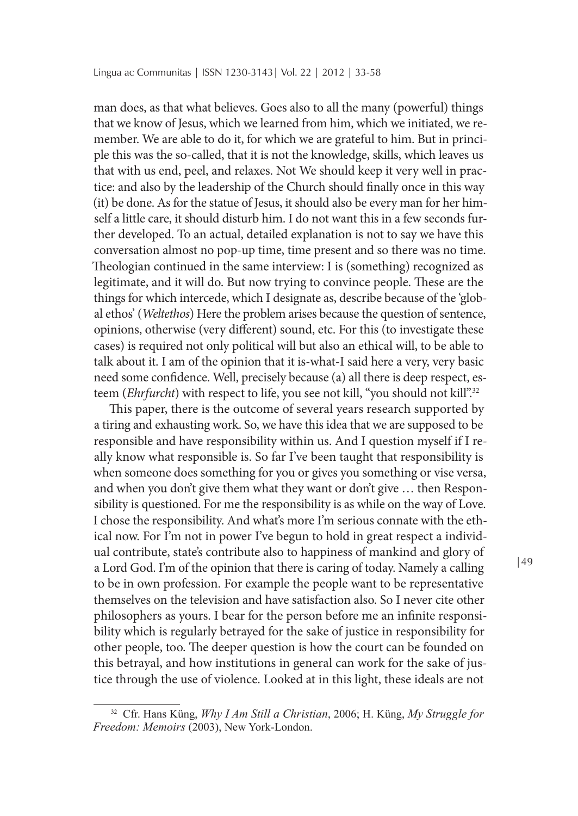man does, as that what believes. Goes also to all the many (powerful) things that we know of Jesus, which we learned from him, which we initiated, we remember. We are able to do it, for which we are grateful to him. But in principle this was the so-called, that it is not the knowledge, skills, which leaves us that with us end, peel, and relaxes. Not We should keep it very well in practice: and also by the leadership of the Church should finally once in this way (it) be done. As for the statue of Jesus, it should also be every man for her himself a little care, it should disturb him. I do not want this in a few seconds further developed. To an actual, detailed explanation is not to say we have this conversation almost no pop-up time, time present and so there was no time. Theologian continued in the same interview: I is (something) recognized as legitimate, and it will do. But now trying to convince people. These are the things for which intercede, which I designate as, describe because of the 'global ethos' (*Weltethos*) Here the problem arises because the question of sentence, opinions, otherwise (very different) sound, etc. For this (to investigate these cases) is required not only political will but also an ethical will, to be able to talk about it. I am of the opinion that it is-what-I said here a very, very basic need some confidence. Well, precisely because (a) all there is deep respect, esteem (*Ehrfurcht*) with respect to life, you see not kill, "you should not kill".32

This paper, there is the outcome of several years research supported by a tiring and exhausting work. So, we have this idea that we are supposed to be responsible and have responsibility within us. And I question myself if I really know what responsible is. So far I've been taught that responsibility is when someone does something for you or gives you something or vise versa, and when you don't give them what they want or don't give … then Responsibility is questioned. For me the responsibility is as while on the way of Love. I chose the responsibility. And what's more I'm serious connate with the ethical now. For I'm not in power I've begun to hold in great respect a individual contribute, state's contribute also to happiness of mankind and glory of a Lord God. I'm of the opinion that there is caring of today. Namely a calling to be in own profession. For example the people want to be representative themselves on the television and have satisfaction also. So I never cite other philosophers as yours. I bear for the person before me an infinite responsibility which is regularly betrayed for the sake of justice in responsibility for other people, too. The deeper question is how the court can be founded on this betrayal, and how institutions in general can work for the sake of justice through the use of violence. Looked at in this light, these ideals are not

<sup>32</sup> Cfr. Hans Küng, *Why I Am Still a Christian*, 2006; H. Küng, *My Struggle for Freedom: Memoirs* (2003), New York-London.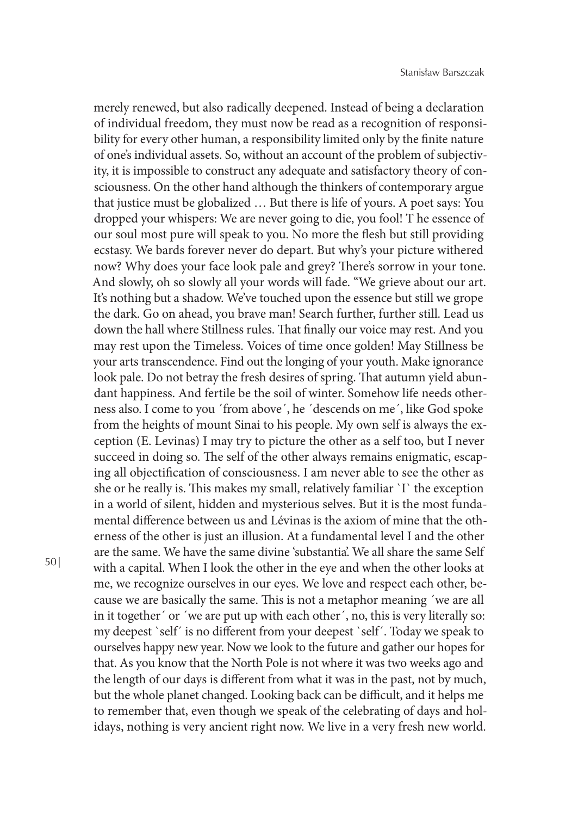merely renewed, but also radically deepened. Instead of being a declaration of individual freedom, they must now be read as a recognition of responsibility for every other human, a responsibility limited only by the finite nature of one's individual assets. So, without an account of the problem of subjectivity, it is impossible to construct any adequate and satisfactory theory of consciousness. On the other hand although the thinkers of contemporary argue that justice must be globalized … But there is life of yours. A poet says: You dropped your whispers: We are never going to die, you fool! T he essence of our soul most pure will speak to you. No more the flesh but still providing ecstasy. We bards forever never do depart. But why's your picture withered now? Why does your face look pale and grey? There's sorrow in your tone. And slowly, oh so slowly all your words will fade. "We grieve about our art. It's nothing but a shadow. We've touched upon the essence but still we grope the dark. Go on ahead, you brave man! Search further, further still. Lead us down the hall where Stillness rules. That finally our voice may rest. And you may rest upon the Timeless. Voices of time once golden! May Stillness be your arts transcendence. Find out the longing of your youth. Make ignorance look pale. Do not betray the fresh desires of spring. That autumn yield abundant happiness. And fertile be the soil of winter. Somehow life needs otherness also. I come to you ´from above´, he ´descends on me´, like God spoke from the heights of mount Sinai to his people. My own self is always the exception (E. Levinas) I may try to picture the other as a self too, but I never succeed in doing so. The self of the other always remains enigmatic, escaping all objectification of consciousness. I am never able to see the other as she or he really is. This makes my small, relatively familiar `I` the exception in a world of silent, hidden and mysterious selves. But it is the most fundamental difference between us and Lévinas is the axiom of mine that the otherness of the other is just an illusion. At a fundamental level I and the other are the same. We have the same divine 'substantia'. We all share the same Self with a capital. When I look the other in the eye and when the other looks at me, we recognize ourselves in our eyes. We love and respect each other, because we are basically the same. This is not a metaphor meaning ´we are all in it together' or 'we are put up with each other', no, this is very literally so: my deepest `self´ is no different from your deepest `self´. Today we speak to ourselves happy new year. Now we look to the future and gather our hopes for that. As you know that the North Pole is not where it was two weeks ago and the length of our days is different from what it was in the past, not by much, but the whole planet changed. Looking back can be difficult, and it helps me to remember that, even though we speak of the celebrating of days and holidays, nothing is very ancient right now. We live in a very fresh new world.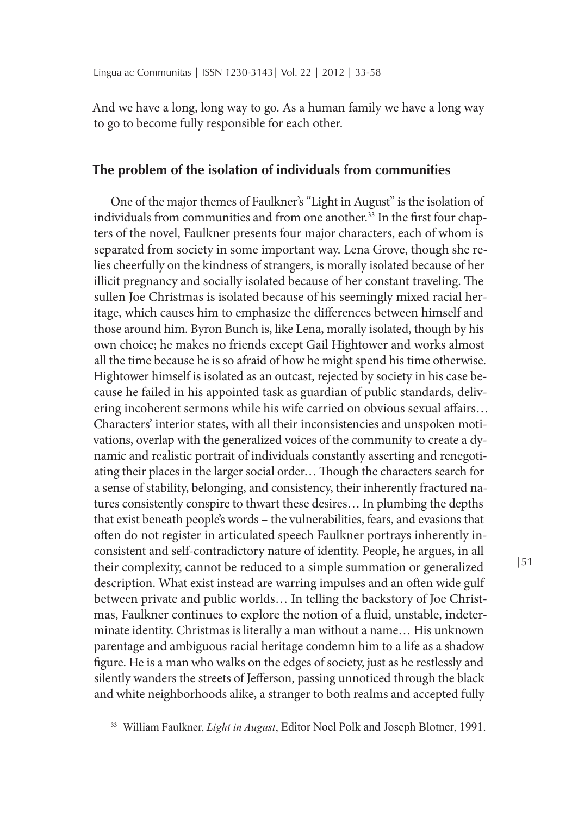And we have a long, long way to go. As a human family we have a long way to go to become fully responsible for each other.

## **The problem of the isolation of individuals from communities**

One of the major themes of Faulkner's "Light in August" is the isolation of individuals from communities and from one another.<sup>33</sup> In the first four chapters of the novel, Faulkner presents four major characters, each of whom is separated from society in some important way. Lena Grove, though she relies cheerfully on the kindness of strangers, is morally isolated because of her illicit pregnancy and socially isolated because of her constant traveling. The sullen Joe Christmas is isolated because of his seemingly mixed racial heritage, which causes him to emphasize the differences between himself and those around him. Byron Bunch is, like Lena, morally isolated, though by his own choice; he makes no friends except Gail Hightower and works almost all the time because he is so afraid of how he might spend his time otherwise. Hightower himself is isolated as an outcast, rejected by society in his case because he failed in his appointed task as guardian of public standards, delivering incoherent sermons while his wife carried on obvious sexual affairs… Characters' interior states, with all their inconsistencies and unspoken motivations, overlap with the generalized voices of the community to create a dynamic and realistic portrait of individuals constantly asserting and renegotiating their places in the larger social order… Though the characters search for a sense of stability, belonging, and consistency, their inherently fractured natures consistently conspire to thwart these desires… In plumbing the depths that exist beneath people's words – the vulnerabilities, fears, and evasions that often do not register in articulated speech Faulkner portrays inherently inconsistent and self-contradictory nature of identity. People, he argues, in all their complexity, cannot be reduced to a simple summation or generalized description. What exist instead are warring impulses and an often wide gulf between private and public worlds… In telling the backstory of Joe Christmas, Faulkner continues to explore the notion of a fluid, unstable, indeterminate identity. Christmas is literally a man without a name… His unknown parentage and ambiguous racial heritage condemn him to a life as a shadow figure. He is a man who walks on the edges of society, just as he restlessly and silently wanders the streets of Jefferson, passing unnoticed through the black and white neighborhoods alike, a stranger to both realms and accepted fully

<sup>33</sup> William Faulkner, *Light in August*, Editor Noel Polk and Joseph Blotner, 1991.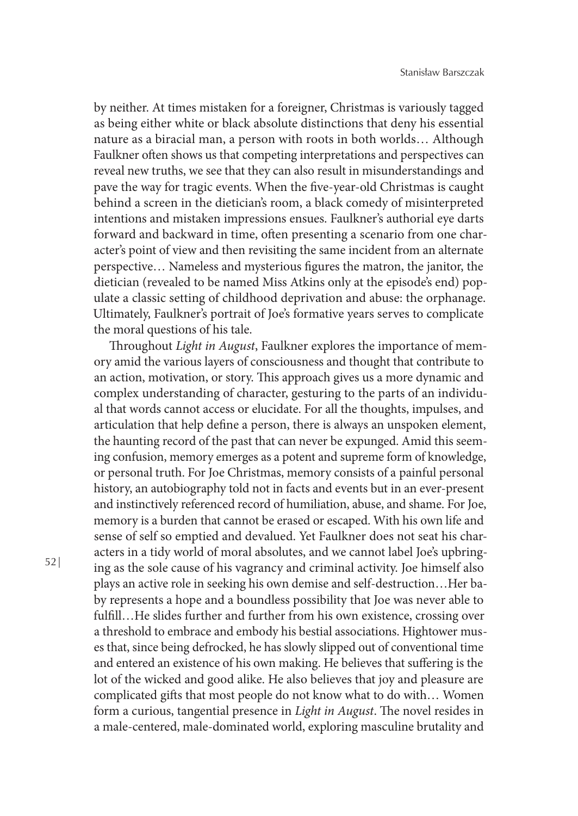by neither. At times mistaken for a foreigner, Christmas is variously tagged as being either white or black absolute distinctions that deny his essential nature as a biracial man, a person with roots in both worlds… Although Faulkner often shows us that competing interpretations and perspectives can reveal new truths, we see that they can also result in misunderstandings and pave the way for tragic events. When the five-year-old Christmas is caught behind a screen in the dietician's room, a black comedy of misinterpreted intentions and mistaken impressions ensues. Faulkner's authorial eye darts forward and backward in time, often presenting a scenario from one character's point of view and then revisiting the same incident from an alternate perspective… Nameless and mysterious figures the matron, the janitor, the dietician (revealed to be named Miss Atkins only at the episode's end) populate a classic setting of childhood deprivation and abuse: the orphanage. Ultimately, Faulkner's portrait of Joe's formative years serves to complicate the moral questions of his tale.

Throughout *Light in August*, Faulkner explores the importance of memory amid the various layers of consciousness and thought that contribute to an action, motivation, or story. This approach gives us a more dynamic and complex understanding of character, gesturing to the parts of an individual that words cannot access or elucidate. For all the thoughts, impulses, and articulation that help define a person, there is always an unspoken element, the haunting record of the past that can never be expunged. Amid this seeming confusion, memory emerges as a potent and supreme form of knowledge, or personal truth. For Joe Christmas, memory consists of a painful personal history, an autobiography told not in facts and events but in an ever-present and instinctively referenced record of humiliation, abuse, and shame. For Joe, memory is a burden that cannot be erased or escaped. With his own life and sense of self so emptied and devalued. Yet Faulkner does not seat his characters in a tidy world of moral absolutes, and we cannot label Joe's upbringing as the sole cause of his vagrancy and criminal activity. Joe himself also plays an active role in seeking his own demise and self-destruction…Her baby represents a hope and a boundless possibility that Joe was never able to fulfill…He slides further and further from his own existence, crossing over a threshold to embrace and embody his bestial associations. Hightower muses that, since being defrocked, he has slowly slipped out of conventional time and entered an existence of his own making. He believes that suffering is the lot of the wicked and good alike. He also believes that joy and pleasure are complicated gifts that most people do not know what to do with… Women form a curious, tangential presence in *Light in August*. The novel resides in a male-centered, male-dominated world, exploring masculine brutality and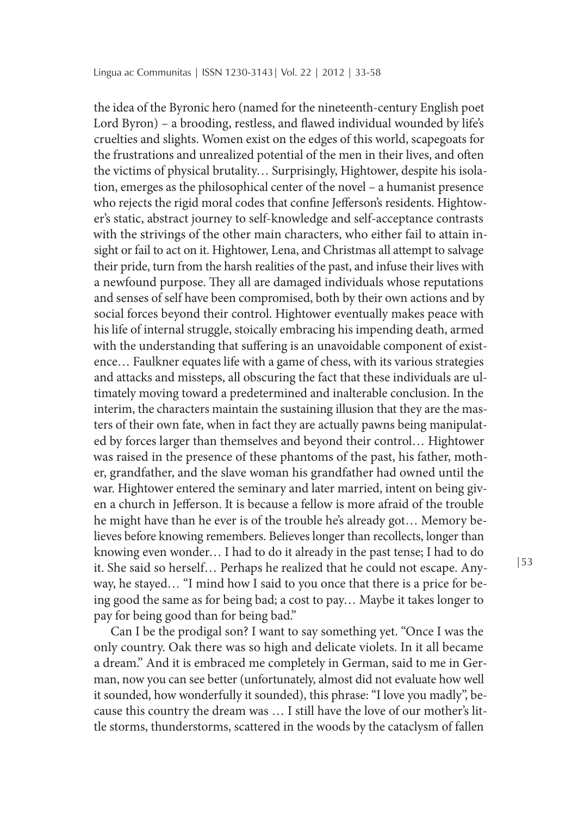the idea of the Byronic hero (named for the nineteenth-century English poet Lord Byron) – a brooding, restless, and flawed individual wounded by life's cruelties and slights. Women exist on the edges of this world, scapegoats for the frustrations and unrealized potential of the men in their lives, and often the victims of physical brutality… Surprisingly, Hightower, despite his isolation, emerges as the philosophical center of the novel – a humanist presence who rejects the rigid moral codes that confine Jefferson's residents. Hightower's static, abstract journey to self-knowledge and self-acceptance contrasts with the strivings of the other main characters, who either fail to attain insight or fail to act on it. Hightower, Lena, and Christmas all attempt to salvage their pride, turn from the harsh realities of the past, and infuse their lives with a newfound purpose. They all are damaged individuals whose reputations and senses of self have been compromised, both by their own actions and by social forces beyond their control. Hightower eventually makes peace with his life of internal struggle, stoically embracing his impending death, armed with the understanding that suffering is an unavoidable component of existence… Faulkner equates life with a game of chess, with its various strategies and attacks and missteps, all obscuring the fact that these individuals are ultimately moving toward a predetermined and inalterable conclusion. In the interim, the characters maintain the sustaining illusion that they are the masters of their own fate, when in fact they are actually pawns being manipulated by forces larger than themselves and beyond their control… Hightower was raised in the presence of these phantoms of the past, his father, mother, grandfather, and the slave woman his grandfather had owned until the war. Hightower entered the seminary and later married, intent on being given a church in Jefferson. It is because a fellow is more afraid of the trouble he might have than he ever is of the trouble he's already got… Memory believes before knowing remembers. Believes longer than recollects, longer than knowing even wonder… I had to do it already in the past tense; I had to do it. She said so herself… Perhaps he realized that he could not escape. Anyway, he stayed… "I mind how I said to you once that there is a price for being good the same as for being bad; a cost to pay… Maybe it takes longer to pay for being good than for being bad."

Can I be the prodigal son? I want to say something yet. "Once I was the only country. Oak there was so high and delicate violets. In it all became a dream." And it is embraced me completely in German, said to me in German, now you can see better (unfortunately, almost did not evaluate how well it sounded, how wonderfully it sounded), this phrase: "I love you madly", because this country the dream was … I still have the love of our mother's little storms, thunderstorms, scattered in the woods by the cataclysm of fallen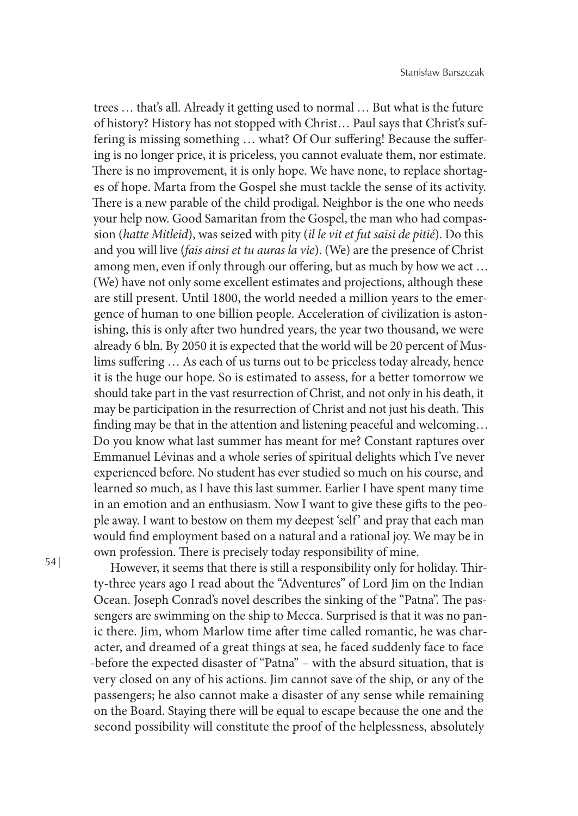trees … that's all. Already it getting used to normal … But what is the future of history? History has not stopped with Christ… Paul says that Christ's suffering is missing something … what? Of Our suffering! Because the suffering is no longer price, it is priceless, you cannot evaluate them, nor estimate. There is no improvement, it is only hope. We have none, to replace shortages of hope. Marta from the Gospel she must tackle the sense of its activity. There is a new parable of the child prodigal. Neighbor is the one who needs your help now. Good Samaritan from the Gospel, the man who had compassion (*hatte Mitleid*), was seized with pity (*il le vit et fut saisi de pitié*). Do this and you will live (*fais ainsi et tu auras la vie*). (We) are the presence of Christ among men, even if only through our offering, but as much by how we act … (We) have not only some excellent estimates and projections, although these are still present. Until 1800, the world needed a million years to the emergence of human to one billion people. Acceleration of civilization is astonishing, this is only after two hundred years, the year two thousand, we were already 6 bln. By 2050 it is expected that the world will be 20 percent of Muslims suffering … As each of us turns out to be priceless today already, hence it is the huge our hope. So is estimated to assess, for a better tomorrow we should take part in the vast resurrection of Christ, and not only in his death, it may be participation in the resurrection of Christ and not just his death. This finding may be that in the attention and listening peaceful and welcoming… Do you know what last summer has meant for me? Constant raptures over Emmanuel Lévinas and a whole series of spiritual delights which I've never experienced before. No student has ever studied so much on his course, and learned so much, as I have this last summer. Earlier I have spent many time in an emotion and an enthusiasm. Now I want to give these gifts to the people away. I want to bestow on them my deepest 'self ' and pray that each man would find employment based on a natural and a rational joy. We may be in own profession. There is precisely today responsibility of mine.

However, it seems that there is still a responsibility only for holiday. Thirty-three years ago I read about the "Adventures" of Lord Jim on the Indian Ocean. Joseph Conrad's novel describes the sinking of the "Patna". The passengers are swimming on the ship to Mecca. Surprised is that it was no panic there. Jim, whom Marlow time after time called romantic, he was character, and dreamed of a great things at sea, he faced suddenly face to face -before the expected disaster of "Patna" – with the absurd situation, that is very closed on any of his actions. Jim cannot save of the ship, or any of the passengers; he also cannot make a disaster of any sense while remaining on the Board. Staying there will be equal to escape because the one and the second possibility will constitute the proof of the helplessness, absolutely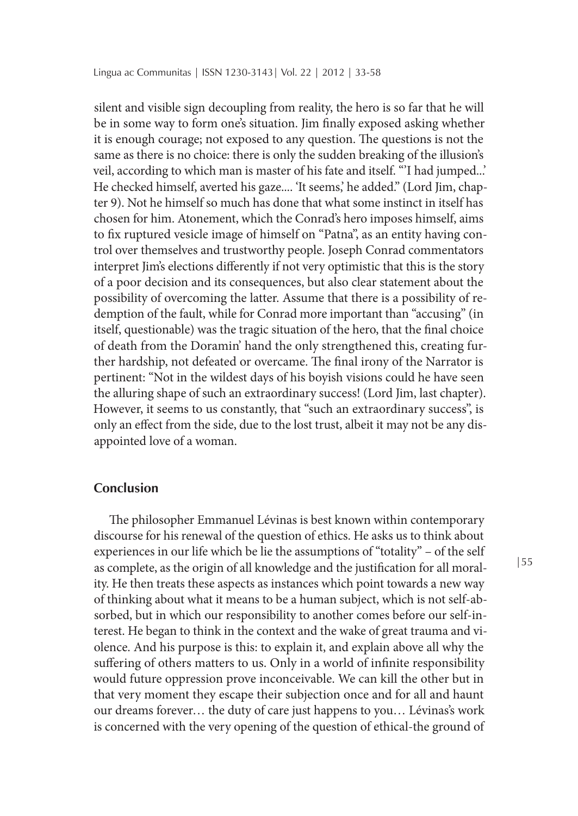silent and visible sign decoupling from reality, the hero is so far that he will be in some way to form one's situation. Jim finally exposed asking whether it is enough courage; not exposed to any question. The questions is not the same as there is no choice: there is only the sudden breaking of the illusion's veil, according to which man is master of his fate and itself. "'I had jumped...' He checked himself, averted his gaze.... 'It seems,' he added." (Lord Jim, chapter 9). Not he himself so much has done that what some instinct in itself has chosen for him. Atonement, which the Conrad's hero imposes himself, aims to fix ruptured vesicle image of himself on "Patna", as an entity having control over themselves and trustworthy people. Joseph Conrad commentators interpret Jim's elections differently if not very optimistic that this is the story of a poor decision and its consequences, but also clear statement about the possibility of overcoming the latter. Assume that there is a possibility of redemption of the fault, while for Conrad more important than "accusing" (in itself, questionable) was the tragic situation of the hero, that the final choice of death from the Doramin' hand the only strengthened this, creating further hardship, not defeated or overcame. The final irony of the Narrator is pertinent: "Not in the wildest days of his boyish visions could he have seen the alluring shape of such an extraordinary success! (Lord Jim, last chapter). However, it seems to us constantly, that "such an extraordinary success", is only an effect from the side, due to the lost trust, albeit it may not be any disappointed love of a woman.

### **Conclusion**

The philosopher Emmanuel Lévinas is best known within contemporary discourse for his renewal of the question of ethics. He asks us to think about experiences in our life which be lie the assumptions of "totality" – of the self as complete, as the origin of all knowledge and the justification for all morality. He then treats these aspects as instances which point towards a new way of thinking about what it means to be a human subject, which is not self-absorbed, but in which our responsibility to another comes before our self-interest. He began to think in the context and the wake of great trauma and violence. And his purpose is this: to explain it, and explain above all why the suffering of others matters to us. Only in a world of infinite responsibility would future oppression prove inconceivable. We can kill the other but in that very moment they escape their subjection once and for all and haunt our dreams forever… the duty of care just happens to you… Lévinas's work is concerned with the very opening of the question of ethical-the ground of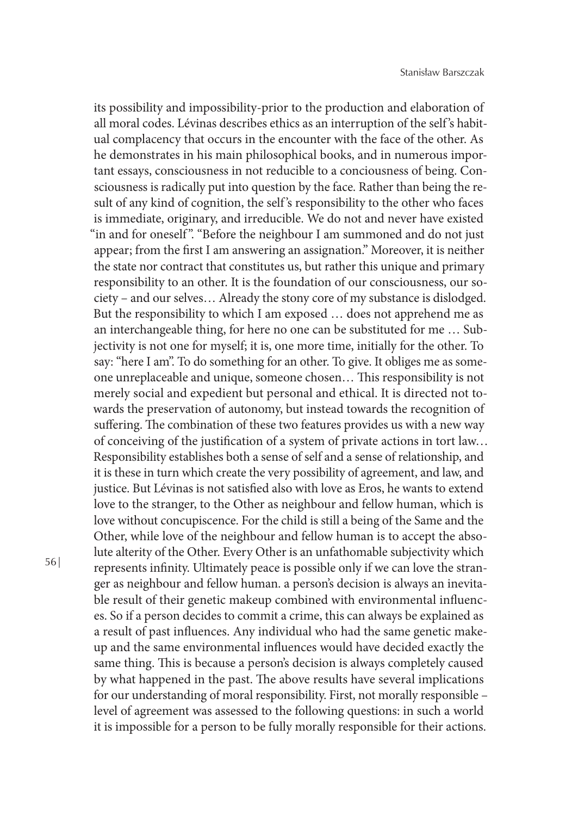its possibility and impossibility-prior to the production and elaboration of all moral codes. Lévinas describes ethics as an interruption of the self 's habitual complacency that occurs in the encounter with the face of the other. As he demonstrates in his main philosophical books, and in numerous important essays, consciousness in not reducible to a conciousness of being. Consciousness is radically put into question by the face. Rather than being the result of any kind of cognition, the self 's responsibility to the other who faces is immediate, originary, and irreducible. We do not and never have existed "in and for oneself". "Before the neighbour I am summoned and do not just appear; from the first I am answering an assignation." Moreover, it is neither the state nor contract that constitutes us, but rather this unique and primary responsibility to an other. It is the foundation of our consciousness, our society – and our selves… Already the stony core of my substance is dislodged. But the responsibility to which I am exposed … does not apprehend me as an interchangeable thing, for here no one can be substituted for me … Subjectivity is not one for myself; it is, one more time, initially for the other. To say: "here I am". To do something for an other. To give. It obliges me as someone unreplaceable and unique, someone chosen… This responsibility is not merely social and expedient but personal and ethical. It is directed not towards the preservation of autonomy, but instead towards the recognition of suffering. The combination of these two features provides us with a new way of conceiving of the justification of a system of private actions in tort law… Responsibility establishes both a sense of self and a sense of relationship, and it is these in turn which create the very possibility of agreement, and law, and justice. But Lévinas is not satisfied also with love as Eros, he wants to extend love to the stranger, to the Other as neighbour and fellow human, which is love without concupiscence. For the child is still a being of the Same and the Other, while love of the neighbour and fellow human is to accept the absolute alterity of the Other. Every Other is an unfathomable subjectivity which represents infinity. Ultimately peace is possible only if we can love the stranger as neighbour and fellow human. a person's decision is always an inevitable result of their genetic makeup combined with environmental influences. So if a person decides to commit a crime, this can always be explained as a result of past influences. Any individual who had the same genetic makeup and the same environmental influences would have decided exactly the same thing. This is because a person's decision is always completely caused by what happened in the past. The above results have several implications for our understanding of moral responsibility. First, not morally responsible – level of agreement was assessed to the following questions: in such a world it is impossible for a person to be fully morally responsible for their actions.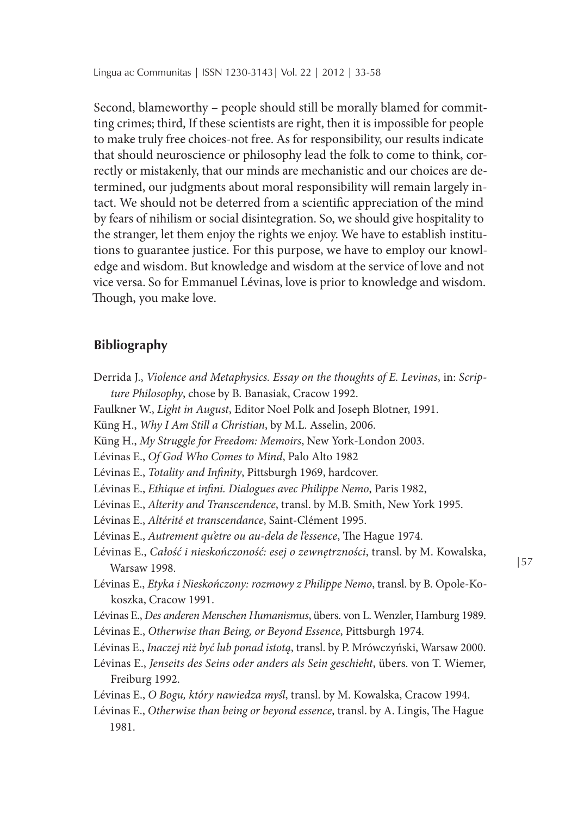Second, blameworthy – people should still be morally blamed for committing crimes; third, If these scientists are right, then it is impossible for people to make truly free choices-not free. As for responsibility, our results indicate that should neuroscience or philosophy lead the folk to come to think, correctly or mistakenly, that our minds are mechanistic and our choices are determined, our judgments about moral responsibility will remain largely intact. We should not be deterred from a scientific appreciation of the mind by fears of nihilism or social disintegration. So, we should give hospitality to the stranger, let them enjoy the rights we enjoy. We have to establish institutions to guarantee justice. For this purpose, we have to employ our knowledge and wisdom. But knowledge and wisdom at the service of love and not vice versa. So for Emmanuel Lévinas, love is prior to knowledge and wisdom. Though, you make love.

### **Bibliography**

- Derrida J., *Violence and Metaphysics. Essay on the thoughts of E. Levinas*, in: *Scripture Philosophy*, chose by B. Banasiak, Cracow 1992.
- Faulkner W., *Light in August*, Editor Noel Polk and Joseph Blotner, 1991.
- Küng H., *Why I Am Still a Christian*, by M.L. Asselin, 2006.
- Küng H., *My Struggle for Freedom: Memoirs*, New York-London 2003.
- Lévinas E., *Of God Who Comes to Mind*, Palo Alto 1982
- Lévinas E., *Totality and Infinity*, Pittsburgh 1969, hardcover.
- Lévinas E., *Ethique et infini. Dialogues avec Philippe Nemo*, Paris 1982,
- Lévinas E., *Alterity and Transcendence*, transl. by M.B. Smith, New York 1995.

Lévinas E., *Altérité et transcendance*, Saint-Clément 1995.

- Lévinas E., *Autrement qu'etre ou au-dela de l'essence*, The Hague 1974.
- Lévinas E., *Całość i nieskończoność: esej o zewnętrzności*, transl. by M. Kowalska, Warsaw 1998.
- Lévinas E., *Etyka i Nieskończony: rozmowy z Philippe Nemo*, transl. by B. Opole-Kokoszka, Cracow 1991.
- Lévinas E., *Des anderen Menschen Humanismus*, übers. von L. Wenzler, Hamburg 1989.
- Lévinas E., *Otherwise than Being, or Beyond Essence*, Pittsburgh 1974.
- Lévinas E., *Inaczej niż być lub ponad istotą*, transl. by P. Mrówczyński, Warsaw 2000.
- Lévinas E., *Jenseits des Seins oder anders als Sein geschieht*, übers. von T. Wiemer, Freiburg 1992.
- Lévinas E., *O Bogu, który nawiedza myśl*, transl. by M. Kowalska, Cracow 1994.
- Lévinas E., *Otherwise than being or beyond essence*, transl. by A. Lingis, The Hague 1981.